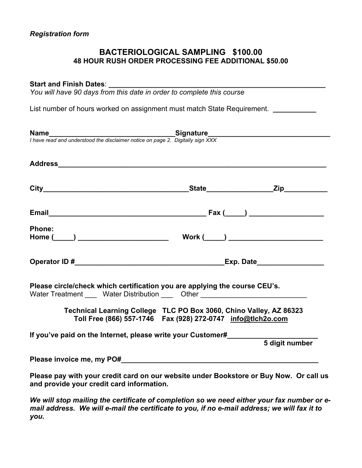## **BACTERIOLOGICAL SAMPLING \$100.00 48 HOUR RUSH ORDER PROCESSING FEE ADDITIONAL \$50.00**

#### Start and Finish Dates:

*You will have 90 days from this date in order to complete this course* 

List number of hours worked on assignment must match State Requirement. **\_\_\_\_\_\_\_\_\_\_\_**

| <b>Name</b><br>I have read and understood the disclaimer notice on page 2. Digitally sign XXX                                                                  |                                                                                                                                         |
|----------------------------------------------------------------------------------------------------------------------------------------------------------------|-----------------------------------------------------------------------------------------------------------------------------------------|
|                                                                                                                                                                |                                                                                                                                         |
|                                                                                                                                                                |                                                                                                                                         |
|                                                                                                                                                                |                                                                                                                                         |
| Phone:                                                                                                                                                         |                                                                                                                                         |
|                                                                                                                                                                |                                                                                                                                         |
| Please circle/check which certification you are applying the course CEU's.<br>Water Treatment _____ Water Distribution ____ Other ____________________________ |                                                                                                                                         |
|                                                                                                                                                                | Technical Learning College TLC PO Box 3060, Chino Valley, AZ 86323<br>Toll Free (866) 557-1746    Fax (928) 272-0747    info@tlch2o.com |
| If you've paid on the Internet, please write your Customer#                                                                                                    | 5 digit number                                                                                                                          |
|                                                                                                                                                                |                                                                                                                                         |
|                                                                                                                                                                |                                                                                                                                         |
| and provide your credit card information.                                                                                                                      | Please pay with your credit card on our website under Bookstore or Buy Now. Or call us                                                  |

*We will stop mailing the certificate of completion so we need either your fax number or email address. We will e-mail the certificate to you, if no e-mail address; we will fax it to you.*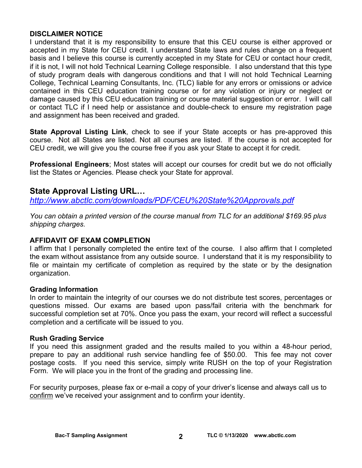## **DISCLAIMER NOTICE**

I understand that it is my responsibility to ensure that this CEU course is either approved or accepted in my State for CEU credit. I understand State laws and rules change on a frequent basis and I believe this course is currently accepted in my State for CEU or contact hour credit, if it is not, I will not hold Technical Learning College responsible. I also understand that this type of study program deals with dangerous conditions and that I will not hold Technical Learning College, Technical Learning Consultants, Inc. (TLC) liable for any errors or omissions or advice contained in this CEU education training course or for any violation or injury or neglect or damage caused by this CEU education training or course material suggestion or error. I will call or contact TLC if I need help or assistance and double-check to ensure my registration page and assignment has been received and graded.

**State Approval Listing Link**, check to see if your State accepts or has pre-approved this course. Not all States are listed. Not all courses are listed. If the course is not accepted for CEU credit, we will give you the course free if you ask your State to accept it for credit.

**Professional Engineers**; Most states will accept our courses for credit but we do not officially list the States or Agencies. Please check your State for approval.

## **State Approval Listing URL…**

*<http://www.abctlc.com/downloads/PDF/CEU%20State%20Approvals.pdf>*

*You can obtain a printed version of the course manual from TLC for an additional \$169.95 plus shipping charges.* 

## **AFFIDAVIT OF EXAM COMPLETION**

I affirm that I personally completed the entire text of the course. I also affirm that I completed the exam without assistance from any outside source. I understand that it is my responsibility to file or maintain my certificate of completion as required by the state or by the designation organization.

## **Grading Information**

In order to maintain the integrity of our courses we do not distribute test scores, percentages or questions missed. Our exams are based upon pass/fail criteria with the benchmark for successful completion set at 70%. Once you pass the exam, your record will reflect a successful completion and a certificate will be issued to you.

## **Rush Grading Service**

If you need this assignment graded and the results mailed to you within a 48-hour period, prepare to pay an additional rush service handling fee of \$50.00. This fee may not cover postage costs. If you need this service, simply write RUSH on the top of your Registration Form. We will place you in the front of the grading and processing line.

For security purposes, please fax or e-mail a copy of your driver's license and always call us to confirm we've received your assignment and to confirm your identity.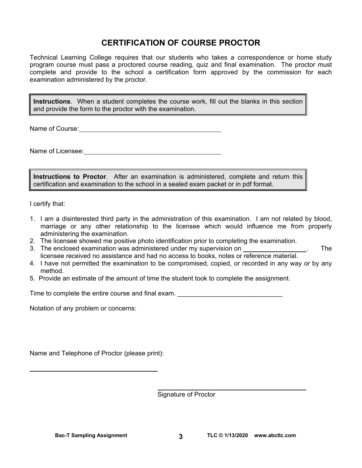# **CERTIFICATION OF COURSE PROCTOR**

Technical Learning College requires that our students who takes a correspondence or home study program course must pass a proctored course reading, quiz and final examination. The proctor must complete and provide to the school a certification form approved by the commission for each examination administered by the proctor.

**Instructions**. When a student completes the course work, fill out the blanks in this section and provide the form to the proctor with the examination.

Name of Course: Name of Course:

Name of Licensee:  $\blacksquare$ 

**Instructions to Proctor**. After an examination is administered, complete and return this certification and examination to the school in a sealed exam packet or in pdf format.

I certify that:

 $\overline{a}$ 

- 1. I am a disinterested third party in the administration of this examination. I am not related by blood, marriage or any other relationship to the licensee which would influence me from properly administering the examination.
- 2. The licensee showed me positive photo identification prior to completing the examination.
- 3. The enclosed examination was administered under my supervision on . The licensee received no assistance and had no access to books, notes or reference material.
- 4. I have not permitted the examination to be compromised, copied, or recorded in any way or by any method.
- 5. Provide an estimate of the amount of time the student took to complete the assignment.

Time to complete the entire course and final exam. \_\_\_\_\_\_\_\_\_\_\_\_\_\_\_\_\_\_\_\_\_\_\_\_\_\_\_\_\_

Notation of any problem or concerns:

Name and Telephone of Proctor (please print):

Signature of Proctor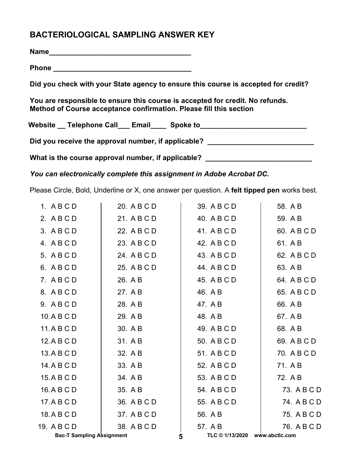# **BACTERIOLOGICAL SAMPLING ANSWER KEY**

**Name\_\_\_\_\_\_\_\_\_\_\_\_\_\_\_\_\_\_\_\_\_\_\_\_\_\_\_\_\_\_\_\_\_\_\_\_**

**Phone \_\_\_\_\_\_\_\_\_\_\_\_\_\_\_\_\_\_\_\_\_\_\_\_\_\_\_\_\_\_\_\_\_\_\_** 

**Did you check with your State agency to ensure this course is accepted for credit?** 

**You are responsible to ensure this course is accepted for credit. No refunds. Method of Course acceptance confirmation. Please fill this section** 

Website \_\_ Telephone Call \_\_ Email \_\_\_ Spoke to \_\_\_\_\_\_\_\_\_\_\_\_\_\_\_\_\_\_\_\_\_\_\_\_\_\_\_\_\_\_\_\_

Did you receive the approval number, if applicable?

What is the course approval number, if applicable? \_\_\_\_\_\_\_\_\_\_\_\_\_\_\_\_\_\_\_\_\_\_\_\_\_\_\_\_\_

*You can electronically complete this assignment in Adobe Acrobat DC.* 

Please Circle, Bold, Underline or X, one answer per question. A **felt tipped pen** works best.

| <b>Bac-T Sampling Assignment</b> |             | 5 | TLC © 1/13/2020 | www.abctlc.com |
|----------------------------------|-------------|---|-----------------|----------------|
| 19. A B C D                      | 38. A B C D |   | 57. A B         | 76. A B C D    |
| 18.ABCD                          | 37. A B C D |   | 56. A B         | 75. A B C D    |
| 17.ABCD                          | 36. A B C D |   | 55. A B C D     | 74. A B C D    |
| 16.ABCD                          | 35. A B     |   | 54. A B C D     | 73. A B C D    |
| 15.A B C D                       | 34. A B     |   | 53. A B C D     | 72. A B        |
| 14. A B C D                      | 33. A B     |   | 52. A B C D     | 71. A B        |
| 13.A B C D                       | 32. A B     |   | 51. A B C D     | 70. A B C D    |
| 12.ABCD                          | 31. A B     |   | 50. A B C D     | 69. A B C D    |
| 11.ABCD                          | 30. A B     |   | 49. A B C D     | 68. A B        |
| 10.ABCD                          | 29. A B     |   | 48. A B         | 67. A B        |
| 9. A B C D                       | 28. A B     |   | 47. A B         | 66. A B        |
| 8. ABCD                          | 27. A B     |   | 46. A B         | 65. A B C D    |
| 7. ABCD                          | 26. A B     |   | 45. A B C D     | 64. A B C D    |
| 6. ABCD                          | 25. A B C D |   | 44. A B C D     | 63. A B        |
| 5. A B C D                       | 24. A B C D |   | 43. A B C D     | 62. A B C D    |
| 4. ABCD                          | 23. A B C D |   | 42. A B C D     | 61. A B        |
| 3. ABCD                          | 22. A B C D |   | 41. A B C D     | 60. A B C D    |
| 2. ABCD                          | 21. A B C D |   | 40. A B C D     | 59. A B        |
| 1. ABCD                          | 20. A B C D |   | 39. A B C D     | 58. A B        |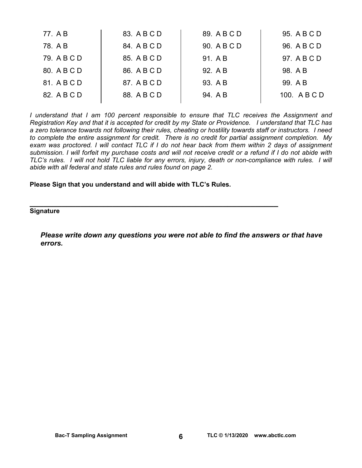| 77. A B     | 83. A B C D | 89. A B C D | 95. A B C D  |
|-------------|-------------|-------------|--------------|
| 78. A B     | 84. A B C D | 90. A B C D | 96. A B C D  |
| 79. A B C D | 85. A B C D | 91. A B     | 97. A B C D  |
| 80. A B C D | 86. A B C D | 92. A B     | 98. A B      |
| 81. A B C D | 87. A B C D | 93. A B     | 99. A B      |
| 82. A B C D | 88. A B C D | 94. A B     | 100. A B C D |
|             |             |             |              |

*I understand that I am 100 percent responsible to ensure that TLC receives the Assignment and Registration Key and that it is accepted for credit by my State or Providence. I understand that TLC has a zero tolerance towards not following their rules, cheating or hostility towards staff or instructors. I need to complete the entire assignment for credit. There is no credit for partial assignment completion. My exam was proctored. I will contact TLC if I do not hear back from them within 2 days of assignment submission. I will forfeit my purchase costs and will not receive credit or a refund if I do not abide with TLC's rules. I will not hold TLC liable for any errors, injury, death or non-compliance with rules. I will abide with all federal and state rules and rules found on page 2.* 

**Please Sign that you understand and will abide with TLC's Rules.** 

**\_\_\_\_\_\_\_\_\_\_\_\_\_\_\_\_\_\_\_\_\_\_\_\_\_\_\_\_\_\_\_\_\_\_\_\_\_\_\_\_\_\_\_\_\_\_\_\_\_\_\_\_\_\_ Signature** 

*Please write down any questions you were not able to find the answers or that have errors.*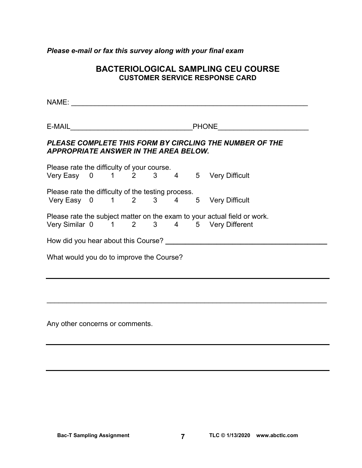### *Please e-mail or fax this survey along with your final exam*

## **BACTERIOLOGICAL SAMPLING CEU COURSE CUSTOMER SERVICE RESPONSE CARD**

NAME: \_\_\_\_\_\_\_\_\_\_\_\_\_\_\_\_\_\_\_\_\_\_\_\_\_\_\_\_\_\_\_\_\_\_\_\_\_\_\_\_\_\_\_\_\_\_\_\_\_\_\_\_\_\_\_\_\_\_\_\_

E-MAIL **E-MAIL E-MAIL** 

## *PLEASE COMPLETE THIS FORM BY CIRCLING THE NUMBER OF THE APPROPRIATE ANSWER IN THE AREA BELOW.*

Please rate the difficulty of your course. Very Easy 0 1 2 3 4 5 Very Difficult

Please rate the difficulty of the testing process. Very Easy 0 1 2 3 4 5 Very Difficult

Please rate the subject matter on the exam to your actual field or work. Very Similar 0 1 2 3 4 5 Very Different

How did you hear about this Course? **Example 20 and Secure 20 and Secure 20 and Secure 20 and Secure 20 and Secure 20 and Secure 20 and Secure 20 and Secure 20 and Secure 20 and Secure 20 and Secure 20 and Secure 20 and Se** 

What would you do to improve the Course?

Any other concerns or comments.

 $\overline{\phantom{a}}$  , and the contribution of the contribution of the contribution of the contribution of the contribution of the contribution of the contribution of the contribution of the contribution of the contribution of the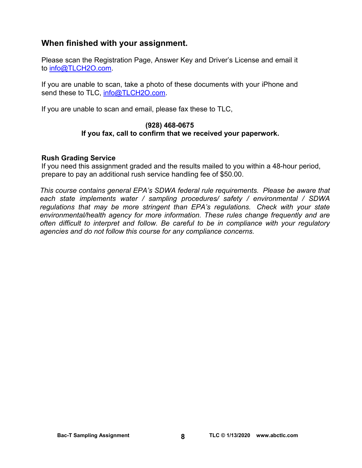## **When finished with your assignment.**

Please scan the Registration Page, Answer Key and Driver's License and email it to [info@TLCH2O.com.](mailto:info@TLCH2O.com) 

If you are unable to scan, take a photo of these documents with your iPhone and send these to TLC, info@TLCH2O.com.

If you are unable to scan and email, please fax these to TLC,

## **(928) 468-0675 If you fax, call to confirm that we received your paperwork.**

## **Rush Grading Service**

If you need this assignment graded and the results mailed to you within a 48-hour period, prepare to pay an additional rush service handling fee of \$50.00.

*This course contains general EPA's SDWA federal rule requirements. Please be aware that each state implements water / sampling procedures/ safety / environmental / SDWA regulations that may be more stringent than EPA's regulations. Check with your state environmental/health agency for more information. These rules change frequently and are often difficult to interpret and follow. Be careful to be in compliance with your regulatory agencies and do not follow this course for any compliance concerns.*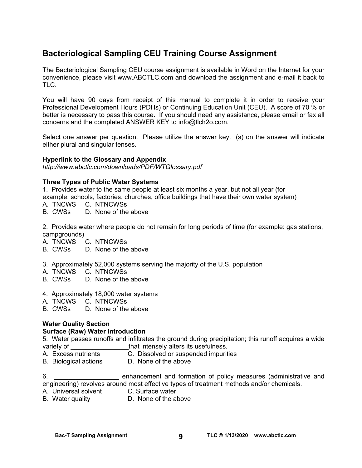# **Bacteriological Sampling CEU Training Course Assignment**

The Bacteriological Sampling CEU course assignment is available in Word on the Internet for your convenience, please visit [www.ABCTLC.com an](http://www.ABCTLC.com)d download the assignment and e-mail it back to TLC.

You will have 90 days from receipt of this manual to complete it in order to receive your Professional Development Hours (PDHs) or Continuing Education Unit (CEU). A score of 70 % or better is necessary to pass this course. If you should need any assistance, please email or fax all concerns and the completed ANSWER KEY to [info@tlch2o.com.](mailto:info@tlch2o.com) 

Select one answer per question. Please utilize the answer key. (s) on the answer will indicate either plural and singular tenses.

#### **Hyperlink to the Glossary and Appendix**

*<http://www.abctlc.com/downloads/PDF/WTGlossary.pdf>*

#### **Three Types of Public Water Systems**

1.Provides water to the same people at least six months a year, but not all year (for

example: schools, factories, churches, office buildings that have their own water system)

- A. TNCWS C. NTNCWSs
- B. CWSs D. None of the above

2. Provides water where people do not remain for long periods of time (for example: gas stations, campgrounds)

- A. TNCWS C. NTNCWSs
- B. CWSs D. None of the above
- 3. Approximately 52,000 systems serving the majority of the U.S. population
- A. TNCWS C. NTNCWSs
- B. CWSs D. None of the above
- 4. Approximately 18,000 water systems
- A. TNCWS C. NTNCWSs
- B. CWSs D. None of the above

## **Water Quality Section**

#### **Surface (Raw) Water Introduction**

5. Water passes runoffs and infiltrates the ground during precipitation; this runoff acquires a wide variety of **that intensely alters its usefulness.** 

- A. Excess nutrients C. Dissolved or suspended impurities
- B. Biological actions D. None of the above

6. \_\_\_\_\_\_\_\_\_\_\_\_\_\_\_\_\_\_ enhancement and formation of policy measures (administrative and engineering) revolves around most effective types of treatment methods and/or chemicals.

- A. Universal solvent C. Surface water
- B. Water quality D. None of the above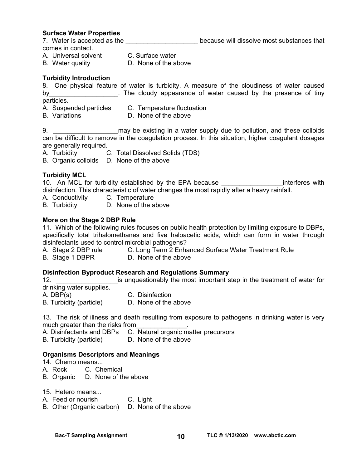#### **Surface Water Properties**

7. Water is accepted as the **Exercise 20** because will dissolve most substances that

comes in contact.

- A. Universal solvent C. Surface water
- B. Water quality D. None of the above

#### **Turbidity Introduction**

8. One physical feature of water is turbidity. A measure of the cloudiness of water caused by by the cloudy appearance of water caused by the presence of tiny particles.

- A. Suspended particles C. Temperature fluctuation
	-
- B. Variations D. None of the above

9. **Example 10** may be existing in a water supply due to pollution, and these colloids can be difficult to remove in the coagulation process. In this situation, higher coagulant dosages are generally required.

A. Turbidity C. Total Dissolved Solids (TDS)

B. Organic colloids D. None of the above

#### **Turbidity MCL**

10. An MCL for turbidity established by the EPA because **EXAL and SHS** interferes with disinfection. This characteristic of water changes the most rapidly after a heavy rainfall.

- A. Conductivity C. Temperature
- B. Turbidity D. None of the above

### **More on the Stage 2 DBP Rule**

11. Which of the following rules focuses on public health protection by limiting exposure to DBPs, specifically total trihalomethanes and five haloacetic acids, which can form in water through disinfectants used to control microbial pathogens?

- A. Stage 2 DBP rule C. Long Term 2 Enhanced Surface Water Treatment Rule
- B. Stage 1 DBPR D. None of the above

#### **Disinfection Byproduct Research and Regulations Summary**

12. **Example 12.** Example is unquestionably the most important step in the treatment of water for drinking water supplies.

A. DBP(s) C. Disinfection<br>B. Turbidity (particle) B. None of the above B. Turbidity (particle)

13. The risk of illness and death resulting from exposure to pathogens in drinking water is very much greater than the risks from

- A. Disinfectants and DBPs C. Natural organic matter precursors
- B. Turbidity (particle) D. None of the above

#### **Organisms Descriptors and Meanings**

- 14. Chemo means...
- A. Rock C. Chemical
- B. Organic D. None of the above
- 15. Hetero means...
- A. Feed or nourish C. Light
- B. Other (Organic carbon) D. None of the above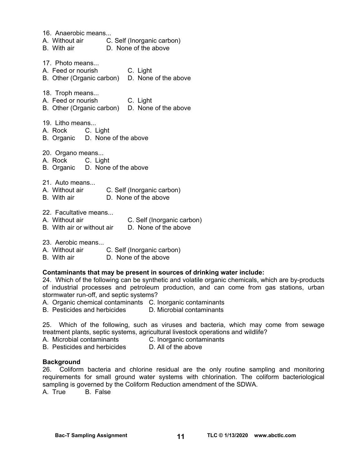16. Anaerobic means... A. Without air C. Self (Inorganic carbon) B. With air D. None of the above 17. Photo means... A. Feed or nourish C. Light B. Other (Organic carbon) D. None of the above 18. Troph means... A. Feed or nourish C. Light B. Other (Organic carbon) D. None of the above 19. Litho means... A. Rock C. Light B. Organic D. None of the above 20. Organo means... A. Rock C. Light B. Organic D. None of the above 21. Auto means... A. Without air C. Self (Inorganic carbon) B. With air D. None of the above 22. Facultative means... A. Without air C. Self (Inorganic carbon) B. With air or without air D. None of the above 23. Aerobic means A. Without air C. Self (Inorganic carbon)

B. With air D. None of the above

#### **Contaminants that may be present in sources of drinking water include:**

24. Which of the following can be synthetic and volatile organic chemicals, which are by-products of industrial processes and petroleum production, and can come from gas stations, urban stormwater run-off, and septic systems?

A. Organic chemical contaminants C. Inorganic contaminants

B. Pesticides and herbicides D. Microbial contaminants

25. Which of the following, such as viruses and bacteria, which may come from sewage treatment plants, septic systems, agricultural livestock operations and wildlife?

- A. Microbial contaminants C. Inorganic contaminants
- B. Pesticides and herbicides D. All of the above

#### **Background**

26. Coliform bacteria and chlorine residual are the only routine sampling and monitoring requirements for small ground water systems with chlorination. The coliform bacteriological sampling is governed by the Coliform Reduction amendment of the SDWA.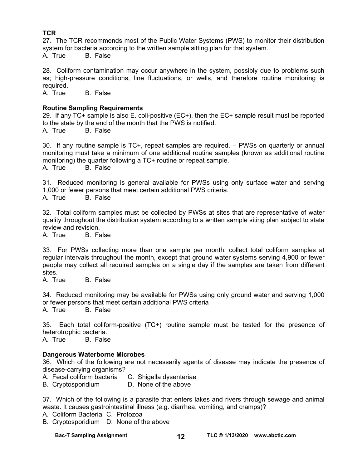## **TCR**

27. The TCR recommends most of the Public Water Systems (PWS) to monitor their distribution system for bacteria according to the written sample sitting plan for that system. A. True B. False

28. Coliform contamination may occur anywhere in the system, possibly due to problems such as; high-pressure conditions, line fluctuations, or wells, and therefore routine monitoring is required.

A. True B. False

#### **Routine Sampling Requirements**

29. If any TC+ sample is also E. coli-positive (EC+), then the EC+ sample result must be reported to the state by the end of the month that the PWS is notified.

A. True B. False

30. If any routine sample is TC+, repeat samples are required. – PWSs on quarterly or annual monitoring must take a minimum of one additional routine samples (known as additional routine monitoring) the quarter following a TC+ routine or repeat sample.

A. True B. False

31. Reduced monitoring is general available for PWSs using only surface water and serving 1,000 or fewer persons that meet certain additional PWS criteria.

A. True B. False

32. Total coliform samples must be collected by PWSs at sites that are representative of water quality throughout the distribution system according to a written sample siting plan subject to state review and revision.

A. True B. False

33. For PWSs collecting more than one sample per month, collect total coliform samples at regular intervals throughout the month, except that ground water systems serving 4,900 or fewer people may collect all required samples on a single day if the samples are taken from different sites.

A. True B. False

34. Reduced monitoring may be available for PWSs using only ground water and serving 1,000 or fewer persons that meet certain additional PWS criteria A. True B. False

35. Each total coliform-positive (TC+) routine sample must be tested for the presence of heterotrophic bacteria.

A. True B. False

#### **Dangerous Waterborne Microbes**

36. Which of the following are not necessarily agents of disease may indicate the presence of disease-carrying organisms?

A. Fecal coliform bacteria C. Shigella dysenteriae

B. Cryptosporidium D. None of the above

37. Which of the following is a parasite that enters lakes and rivers through sewage and animal waste. It causes gastrointestinal illness (e.g. diarrhea, vomiting, and cramps)?

A. Coliform Bacteria C. Protozoa

B. Cryptosporidium D. None of the above

**Bac-T Sampling Assignment** 12 12 TLC © 1/13/2020 www.abctlc.com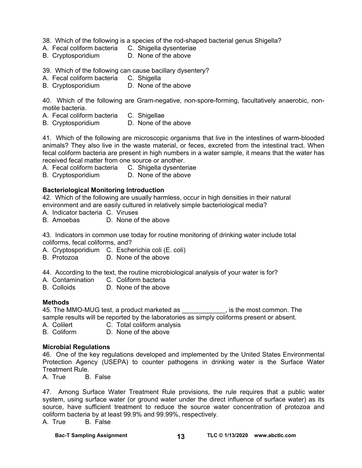38. Which of the following is a species of the rod-shaped bacterial genus Shigella?

- A. Fecal coliform bacteria C. Shigella dysenteriae
- B. Cryptosporidium D. None of the above

39. Which of the following can cause bacillary dysentery?

- A. Fecal coliform bacteria C. Shigella
- B. Cryptosporidium D. None of the above

40. Which of the following are Gram-negative, non-spore-forming, facultatively anaerobic, nonmotile bacteria.

- A. Fecal coliform bacteria C. Shigellae
- B. Cryptosporidium D. None of the above

41. Which of the following are microscopic organisms that live in the intestines of warm-blooded animals? They also live in the waste material, or feces, excreted from the intestinal tract. When fecal coliform bacteria are present in high numbers in a water sample, it means that the water has received fecal matter from one source or another.

A. Fecal coliform bacteria C. Shigella dysenteriae

B. Cryptosporidium D. None of the above

#### **Bacteriological Monitoring Introduction**

42. Which of the following are usually harmless, occur in high densities in their natural environment and are easily cultured in relatively simple bacteriological media?

- A. Indicator bacteria C. Viruses
- B. Amoebas D. None of the above

43. Indicators in common use today for routine monitoring of drinking water include total coliforms, fecal coliforms, and?

A. Cryptosporidium C. Escherichia coli (E. coli)

- B. Protozoa D. None of the above
- 44. According to the text, the routine microbiological analysis of your water is for?
- A. Contamination C. Coliform bacteria
- B. Colloids D. None of the above

#### **Methods**

45. The MMO-MUG test, a product marketed as \_\_\_\_\_\_\_\_\_\_\_\_, is the most common. The sample results will be reported by the laboratories as simply coliforms present or absent.

A. Colilert **C. Total coliform analysis** 

B. Coliform D. None of the above

#### **Microbial Regulations**

46. One of the key regulations developed and implemented by the United States Environmental Protection Agency (USEPA) to counter pathogens in drinking water is the Surface Water Treatment Rule.

A. True B. False

47. Among Surface Water Treatment Rule provisions, the rule requires that a public water system, using surface water (or ground water under the direct influence of surface water) as its source, have sufficient treatment to reduce the source water concentration of protozoa and coliform bacteria by at least 99.9% and 99.99%, respectively.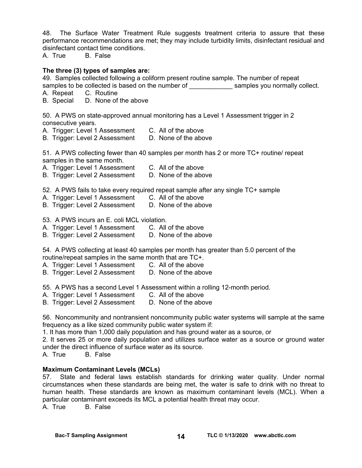48. The Surface Water Treatment Rule suggests treatment criteria to assure that these performance recommendations are met; they may include turbidity limits, disinfectant residual and disinfectant contact time conditions.

A. True B. False

#### **The three (3) types of samples are:**

49. Samples collected following a coliform present routine sample. The number of repeat

- samples to be collected is based on the number of examples you normally collect.
- A. Repeat C. Routine

B. Special D. None of the above

50. A PWS on state-approved annual monitoring has a Level 1 Assessment trigger in 2 consecutive years.

- A. Trigger: Level 1 Assessment C. All of the above
- B. Trigger: Level 2 Assessment D. None of the above

51. A PWS collecting fewer than 40 samples per month has 2 or more TC+ routine/ repeat samples in the same month.

- A. Trigger: Level 1 Assessment C. All of the above
- B. Trigger: Level 2 Assessment D. None of the above
- 52. A PWS fails to take every required repeat sample after any single TC+ sample
- A. Trigger: Level 1 Assessment C. All of the above
- B. Trigger: Level 2 Assessment D. None of the above

53. A PWS incurs an E. coli MCL violation.

- A. Trigger: Level 1 Assessment C. All of the above
- B. Trigger: Level 2 Assessment D. None of the above

54. A PWS collecting at least 40 samples per month has greater than 5.0 percent of the routine/repeat samples in the same month that are TC+.

- A. Trigger: Level 1 Assessment C. All of the above
- B. Trigger: Level 2 Assessment D. None of the above
- 55. A PWS has a second Level 1 Assessment within a rolling 12-month period.
- A. Trigger: Level 1 Assessment C. All of the above
- B. Trigger: Level 2 Assessment D. None of the above

56. Noncommunity and nontransient noncommunity public water systems will sample at the same frequency as a like sized community public water system if:

1. It has more than 1,000 daily population and has ground water as a source, or

2. It serves 25 or more daily population and utilizes surface water as a source or ground water under the direct influence of surface water as its source.

A. True B. False

#### **Maximum Contaminant Levels (MCLs)**

57. State and federal laws establish standards for drinking water quality. Under normal circumstances when these standards are being met, the water is safe to drink with no threat to human health. These standards are known as maximum contaminant levels (MCL). When a particular contaminant exceeds its MCL a potential health threat may occur.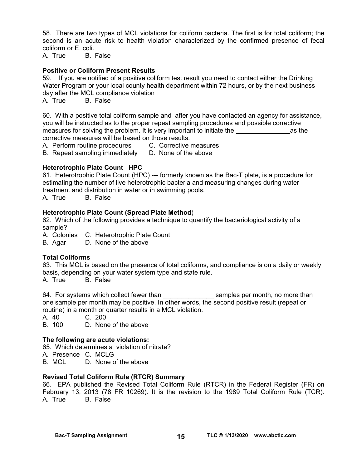58. There are two types of MCL violations for coliform bacteria. The first is for total coliform; the second is an acute risk to health violation characterized by the confirmed presence of fecal coliform or E. coli.

A. True B. False

#### **Positive or Coliform Present Results**

59. If you are notified of a positive coliform test result you need to contact either the Drinking Water Program or your local county health department within 72 hours, or by the next business day after the MCL compliance violation

A. True B. False

60. With a positive total coliform sample and after you have contacted an agency for assistance, you will be instructed as to the proper repeat sampling procedures and possible corrective measures for solving the problem. It is very important to initiate the entity as the corrective measures will be based on those results.

A. Perform routine procedures C. Corrective measures

B. Repeat sampling immediately D. None of the above

#### **Heterotrophic Plate Count HPC**

61. Heterotrophic Plate Count (HPC) --- formerly known as the Bac-T plate, is a procedure for estimating the number of live heterotrophic bacteria and measuring changes during water treatment and distribution in water or in swimming pools.

A. True B. False

#### **Heterotrophic Plate Count (Spread Plate Method**)

62. Which of the following provides a technique to quantify the bacteriological activity of a sample?

A. Colonies C. Heterotrophic Plate Count

B. Agar D. None of the above

#### **Total Coliforms**

63. This MCL is based on the presence of total coliforms, and compliance is on a daily or weekly basis, depending on your water system type and state rule.

A. True B. False

64. For systems which collect fewer than **Examples per month**, no more than one sample per month may be positive. In other words, the second positive result (repeat or routine) in a month or quarter results in a MCL violation.

A. 40 C. 200

B. 100 D. None of the above

#### **The following are acute violations:**

65. Which determines a violation of nitrate?

A. Presence C. MCLG

B. MCL D. None of the above

#### **Revised Total Coliform Rule (RTCR) Summary**

66. EPA published the Revised Total Coliform Rule (RTCR) in the Federal Register (FR) on February 13, 2013 (78 FR 10269). It is the revision to the 1989 Total Coliform Rule (TCR). A. True B. False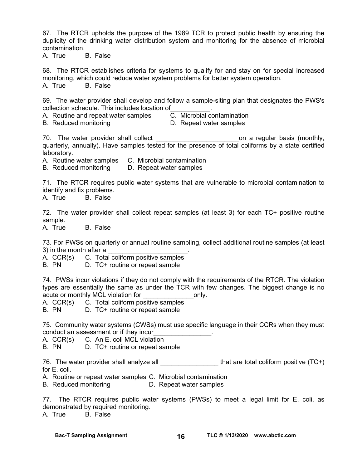67. The RTCR upholds the purpose of the 1989 TCR to protect public health by ensuring the duplicity of the drinking water distribution system and monitoring for the absence of microbial contamination.

A. True B. False

68. The RTCR establishes criteria for systems to qualify for and stay on for special increased monitoring, which could reduce water system problems for better system operation. A. True B. False

69. The water provider shall develop and follow a sample-siting plan that designates the PWS's collection schedule. This includes location of<br>A. Routine and repeat water samples <br>C. Microbial contamination

- A. Routine and repeat water samples
- B. Reduced monitoring D. Repeat water samples
- 

70. The water provider shall collect and the state on a regular basis (monthly, quarterly, annually). Have samples tested for the presence of total coliforms by a state certified laboratory.

A. Routine water samples C. Microbial contamination

B. Reduced monitoring D. Repeat water samples

71. The RTCR requires public water systems that are vulnerable to microbial contamination to identify and fix problems.

A. True B. False

72. The water provider shall collect repeat samples (at least 3) for each TC+ positive routine sample.

A. True B. False

73. For PWSs on quarterly or annual routine sampling, collect additional routine samples (at least 3) in the month after a

A. CCR(s) C. Total coliform positive samples

B. PN D. TC+ routine or repeat sample

74. PWSs incur violations if they do not comply with the requirements of the RTCR. The violation types are essentially the same as under the TCR with few changes. The biggest change is no acute or monthly MCL violation for **EXACCL** only.

A. CCR(s) C. Total coliform positive samples

B. PN D. TC+ routine or repeat sample

75. Community water systems (CWSs) must use specific language in their CCRs when they must conduct an assessment or if they incur<br>

A. CCR(s) C. An E. coli MCL violation

B. PN D. TC+ routine or repeat sample

76. The water provider shall analyze all \_\_\_\_\_\_\_\_\_\_\_\_\_\_\_\_\_\_\_\_that are total coliform positive (TC+) for E. coli.

A. Routine or repeat water samples C. Microbial contamination

B. Reduced monitoring D. Repeat water samples

77. The RTCR requires public water systems (PWSs) to meet a legal limit for E. coli, as demonstrated by required monitoring.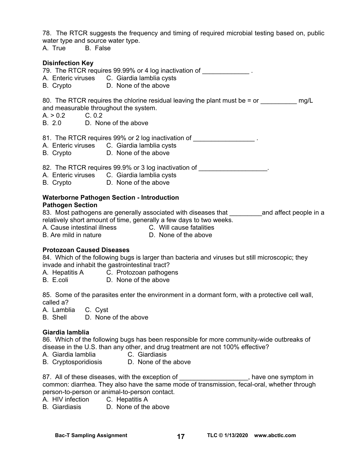78. The RTCR suggests the frequency and timing of required microbial testing based on, public water type and source water type.

A. True B. False

#### **Disinfection Key**

79. The RTCR requires 99.99% or 4 log inactivation of

- A. Enteric viruses C. Giardia lamblia cysts
- B. Crypto D. None of the above

80. The RTCR requires the chlorine residual leaving the plant must be  $=$  or  $\frac{mg}{L}$ and measurable throughout the system.

- $A. > 0.2$  C. 0.2
- B. 2.0 D. None of the above

81. The RTCR requires 99% or 2 log inactivation of \_\_\_\_\_\_\_\_\_\_\_\_\_\_\_\_\_\_\_.

- A. Enteric viruses C. Giardia lamblia cysts
- B. Crypto D. None of the above

82. The RTCR requires 99.9% or 3 log inactivation of \_\_\_\_\_\_\_\_\_\_\_\_\_\_\_\_\_\_\_.

- A. Enteric viruses C. Giardia lamblia cysts
- B. Crypto D. None of the above

#### **Waterborne Pathogen Section - Introduction Pathogen Section**

83. Most pathogens are generally associated with diseases that election and affect people in a relatively short amount of time, generally a few days to two weeks.

A. Cause intestinal illness C. Will cause fatalities

B. Are mild in nature D. None of the above

#### **Protozoan Caused Diseases**

84. Which of the following bugs is larger than bacteria and viruses but still microscopic; they invade and inhabit the gastrointestinal tract?

A. Hepatitis A C. Protozoan pathogens

B. E.coli D. None of the above

85. Some of the parasites enter the environment in a dormant form, with a protective cell wall, called a?

A. Lamblia C. Cyst

B. Shell D. None of the above

#### **Giardia lamblia**

86. Which of the following bugs has been responsible for more community-wide outbreaks of disease in the U.S. than any other, and drug treatment are not 100% effective?

- A. Giardia lamblia C. Giardiasis
- B. Cryptosporidiosis D. None of the above

87. All of these diseases, with the exception of \_\_\_\_\_\_\_\_\_\_\_\_\_\_\_\_\_\_\_, have one symptom in common: diarrhea. They also have the same mode of transmission, fecal-oral, whether through person-to-person or animal-to-person contact.

- A. HIV infection C. Hepatitis A
- B. Giardiasis D. None of the above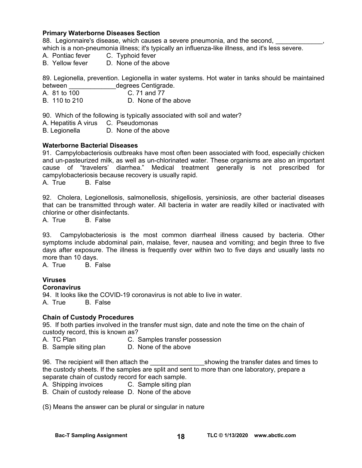#### **Primary Waterborne Diseases Section**

88. Legionnaire's disease, which causes a severe pneumonia, and the second,

which is a non-pneumonia illness; it's typically an influenza-like illness, and it's less severe.

- A. Pontiac fever C. Typhoid fever
- B. Yellow fever D. None of the above

89. Legionella, prevention. Legionella in water systems. Hot water in tanks should be maintained between degrees Centigrade.

- A. 81 to 100 C. 71 and 77
- B. 110 to 210 D. None of the above

90. Which of the following is typically associated with soil and water?

A. Hepatitis A virus C. Pseudomonas

B. Legionella D. None of the above

#### **Waterborne Bacterial Diseases**

91. Campylobacteriosis outbreaks have most often been associated with food, especially chicken and un-pasteurized milk, as well as un-chlorinated water. These organisms are also an important cause of "travelers' diarrhea." Medical treatment generally is not prescribed for campylobacteriosis because recovery is usually rapid. A. True B. False

92. Cholera, Legionellosis, salmonellosis, shigellosis, yersiniosis, are other bacterial diseases that can be transmitted through water. All bacteria in water are readily killed or inactivated with chlorine or other disinfectants.

A. True B. False

93. Campylobacteriosis is the most common diarrheal illness caused by bacteria. Other symptoms include abdominal pain, malaise, fever, nausea and vomiting; and begin three to five days after exposure. The illness is frequently over within two to five days and usually lasts no more than 10 days.

A. True B. False

#### **Viruses**

#### **Coronavirus**

94. It looks like the COVID-19 coronavirus is not able to live in water. A. True B. False

#### **Chain of Custody Procedures**

95. If both parties involved in the transfer must sign, date and note the time on the chain of custody record, this is known as?

- A. TC Plan C. Samples transfer possession
- B. Sample siting plan D. None of the above

96. The recipient will then attach the example in the showing the transfer dates and times to the custody sheets. If the samples are split and sent to more than one laboratory, prepare a separate chain of custody record for each sample.

A. Shipping invoices C. Sample siting plan

B. Chain of custody release D. None of the above

(S) Means the answer can be plural or singular in nature